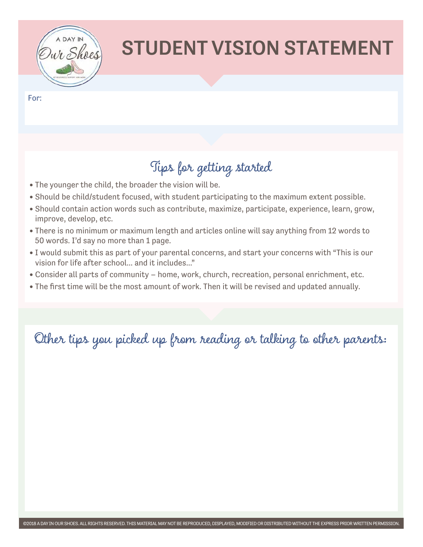

# STUDENT VISION STATEMENT

For:

### Tips for getting started

- The younger the child, the broader the vision will be.
- Should be child/student focused, with student participating to the maximum extent possible.
- Should contain action words such as contribute, maximize, participate, experience, learn, grow, improve, develop, etc.
- There is no minimum or maximum length and articles online will say anything from 12 words to 50 words. I'd say no more than 1 page.
- I would submit this as part of your parental concerns, and start your concerns with "This is our vision for life after school... and it includes..."
- Consider all parts of community home, work, church, recreation, personal enrichment, etc.
- The first time will be the most amount of work. Then it will be revised and updated annually.

Other tips you picked up from reading or talking to other parents: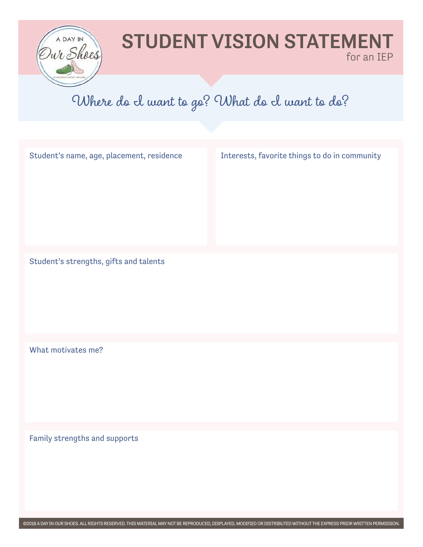

#### STUDENT VISION STATEMENT for an IEP

#### Where do I want to go? What do I want to do?

| Student's name, age, placement, residence | Interests, favorite things to do in community |
|-------------------------------------------|-----------------------------------------------|
| Student's strengths, gifts and talents    |                                               |
| What motivates me?                        |                                               |
| Family strengths and supports             |                                               |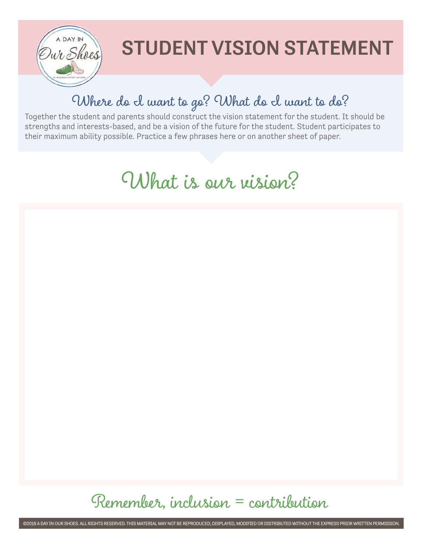

# STUDENT VISION STATEMENT

### Where do I want to go? What do I want to do?

Together the student and parents should construct the vision statement for the student. It should be strengths and interests-based, and be a vision of the future for the student. Student participates to their maximum ability possible. Practice a few phrases here or on another sheet of paper.

### What is our vision?

Remember, inclusion = contribution